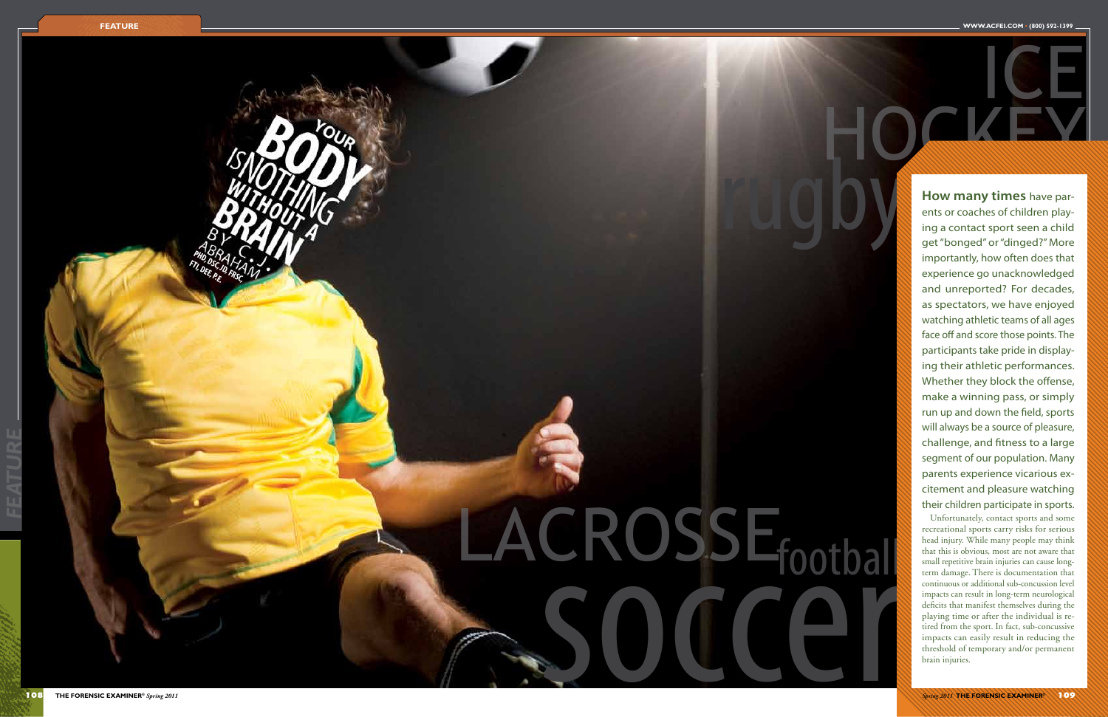**HOGKEY** 

*FEATURE*

## football

rugby



PHD, DSC, D. H. J.<br>FTI, DEE, P. FRSC,

# LACROSSE CRUSSE<sub>footbal</sub>

ice

**How many times** have par ents or coaches of children play ing a contact sport seen a child get "bonged" or "dinged?" More importantly, how often does that experience go unacknowledged and unreported? For decades, as spectators, we have enjoyed watching athletic teams of all ages face off and score those points. The participants take pride in display ing their athletic performances. Whether they block the offense, make a winning pass, or simply run up and down the field, sports will always be a source of pleasure, challenge, and fitness to a large segment of our population. Many parents experience vicarious ex citement and pleasure watching their children participate in sports.

Unfortunately, contact sports and some recreational sports carry risks for serious head injury. While many people may think that this is obvious, most are not aware that small repetitive brain injuries can cause longterm damage. There is documentation that continuous or additional sub-concussion level impacts can result in long-term neurological deficits that manifest themselves during the playing time or after the individual is re tired from the sport. In fact, sub-concussive impacts can easily result in reducing the threshold of temporary and/or permanent brain injuries.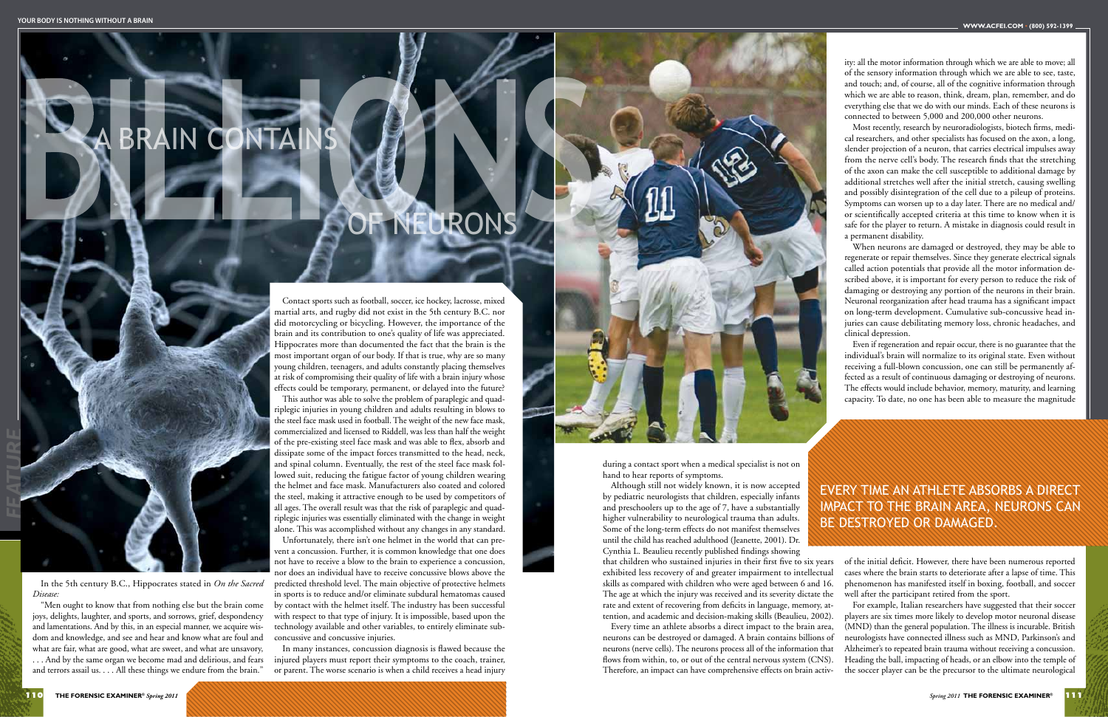*FEATURE*

### BRAIN CONTA

during a contact sport when a medical specialist is not on hand to hear reports of symptoms.

Although still not widely known, it is now accepted by pediatric neurologists that children, especially infants and preschoolers up to the age of 7, have a substantially higher vulnerability to neurological trauma than adults. Some of the long-term effects do not manifest themselves until the child has reached adulthood (Jeanette, 2001). Dr. Cynthia L. Beaulieu recently published findings showing that children who sustained injuries in their first five to six years

ity: all the motor information through which we are able to move; all of the sensory information through which we are able to see, taste, and touch; and, of course, all of the cognitive information through which we are able to reason, think, dream, plan, remember, and do everything else that we do with our minds. Each of these neurons is connected to between 5,000 and 200,000 other neurons.

Most recently, research by neuroradiologists, biotech firms, medical researchers, and other specialists has focused on the axon, a long, slender projection of a neuron, that carries electrical impulses away from the nerve cell's body. The research finds that the stretching of the axon can make the cell susceptible to additional damage by additional stretches well after the initial stretch, causing swelling and possibly disintegration of the cell due to a pileup of proteins. Symptoms can worsen up to a day later. There are no medical and/ or scientifically accepted criteria at this time to know when it is safe for the player to return. A mistake in diagnosis could result in a permanent disability.

exhibited less recovery of and greater impairment to intellectual skills as compared with children who were aged between 6 and 16. The age at which the injury was received and its severity dictate the rate and extent of recovering from deficits in language, memory, attention, and academic and decision-making skills (Beaulieu, 2002). Every time an athlete absorbs a direct impact to the brain area, neurons can be destroyed or damaged. A brain contains billions of neurons (nerve cells). The neurons process all of the information that flows from within, to, or out of the central nervous system (CNS). Therefore, an impact can have comprehensive effects on brain activcases where the brain starts to deteriorate after a lapse of time. This phenomenon has manifested itself in boxing, football, and soccer well after the participant retired from the sport. For example, Italian researchers have suggested that their soccer players are six times more likely to develop motor neuronal disease (MND) than the general population. The illness is incurable. British neurologists have connected illness such as MND, Parkinson's and Alzheimer's to repeated brain trauma without receiving a concussion. Heading the ball, impacting of heads, or an elbow into the temple of the soccer player can be the precursor to the ultimate neurological

When neurons are damaged or destroyed, they may be able to regenerate or repair themselves. Since they generate electrical signals called action potentials that provide all the motor information described above, it is important for every person to reduce the risk of damaging or destroying any portion of the neurons in their brain. Neuronal reorganization after head trauma has a significant impact on long-term development. Cumulative sub-concussive head injuries can cause debilitating memory loss, chronic headaches, and clinical depression.

Even if regeneration and repair occur, there is no guarantee that the individual's brain will normalize to its original state. Even without receiving a full-blown concussion, one can still be permanently affected as a result of continuous damaging or destroying of neurons. The effects would include behavior, memory, maturity, and learning capacity. To date, no one has been able to measure the magnitude

of the initial deficit. However, there have been numerous reported

#### Every time an athlete absorbs a direct impact to the brain area, neurons can be destroyed or damaged.

In the 5th century B.C., Hippocrates stated in *On the Sacred Disease:*

"Men ought to know that from nothing else but the brain come joys, delights, laughter, and sports, and sorrows, grief, despondency and lamentations. And by this, in an especial manner, we acquire wisdom and knowledge, and see and hear and know what are foul and what are fair, what are good, what are sweet, and what are unsavory, . . . And by the same organ we become mad and delirious, and fears and terrors assail us. . . . All these things we endure from the brain."

Contact sports such as football, soccer, ice hockey, lacrosse, mixed martial arts, and rugby did not exist in the 5th century B.C. nor did motorcycling or bicycling. However, the importance of the brain and its contribution to one's quality of life was appreciated. Hippocrates more than documented the fact that the brain is the most important organ of our body. If that is true, why are so many young children, teenagers, and adults constantly placing themselves at risk of compromising their quality of life with a brain injury whose effects could be temporary, permanent, or delayed into the future?

This author was able to solve the problem of paraplegic and quadriplegic injuries in young children and adults resulting in blows to the steel face mask used in football. The weight of the new face mask, commercialized and licensed to Riddell, was less than half the weight of the pre-existing steel face mask and was able to flex, absorb and dissipate some of the impact forces transmitted to the head, neck, and spinal column. Eventually, the rest of the steel face mask followed suit, reducing the fatigue factor of young children wearing the helmet and face mask. Manufacturers also coated and colored the steel, making it attractive enough to be used by competitors of all ages. The overall result was that the risk of paraplegic and quadriplegic injuries was essentially eliminated with the change in weight alone. This was accomplished without any changes in any standard.

Unfortunately, there isn't one helmet in the world that can prevent a concussion. Further, it is common knowledge that one does not have to receive a blow to the brain to experience a concussion, nor does an individual have to receive concussive blows above the predicted threshold level. The main objective of protective helmets in sports is to reduce and/or eliminate subdural hematomas caused by contact with the helmet itself. The industry has been successful with respect to that type of injury. It is impossible, based upon the technology available and other variables, to entirely eliminate subconcussive and concussive injuries.

In many instances, concussion diagnosis is flawed because the injured players must report their symptoms to the coach, trainer, or parent. The worse scenario is when a child receives a head injury